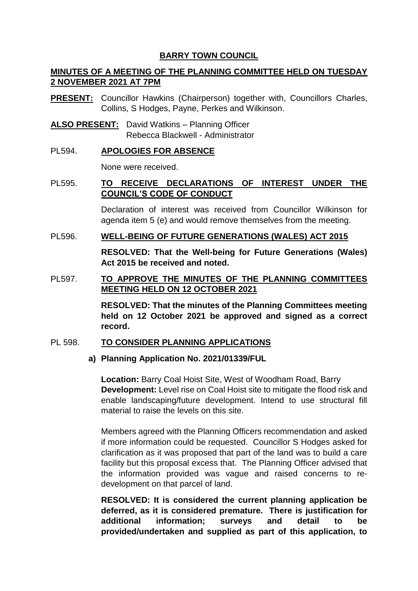## **BARRY TOWN COUNCIL**

# **MINUTES OF A MEETING OF THE PLANNING COMMITTEE HELD ON TUESDAY 2 NOVEMBER 2021 AT 7PM**

- **PRESENT:** Councillor Hawkins (Chairperson) together with, Councillors Charles, Collins, S Hodges, Payne, Perkes and Wilkinson.
- **ALSO PRESENT:** David Watkins Planning Officer Rebecca Blackwell - Administrator

## PL594. **APOLOGIES FOR ABSENCE**

None were received.

# PL595. **TO RECEIVE DECLARATIONS OF INTEREST UNDER THE COUNCIL'S CODE OF CONDUCT**

Declaration of interest was received from Councillor Wilkinson for agenda item 5 (e) and would remove themselves from the meeting.

### PL596. **WELL-BEING OF FUTURE GENERATIONS (WALES) ACT 2015**

**RESOLVED: That the Well-being for Future Generations (Wales) Act 2015 be received and noted.** 

# PL597. **TO APPROVE THE MINUTES OF THE PLANNING COMMITTEES MEETING HELD ON 12 OCTOBER 2021**

**RESOLVED: That the minutes of the Planning Committees meeting held on 12 October 2021 be approved and signed as a correct record.** 

## PL 598. **TO CONSIDER PLANNING APPLICATIONS**

## **a) Planning Application No. 2021/01339/FUL**

**Location:** Barry Coal Hoist Site, West of Woodham Road, Barry **Development:** Level rise on Coal Hoist site to mitigate the flood risk and enable landscaping/future development. Intend to use structural fill material to raise the levels on this site.

Members agreed with the Planning Officers recommendation and asked if more information could be requested. Councillor S Hodges asked for clarification as it was proposed that part of the land was to build a care facility but this proposal excess that. The Planning Officer advised that the information provided was vague and raised concerns to redevelopment on that parcel of land.

**RESOLVED: It is considered the current planning application be deferred, as it is considered premature. There is justification for additional information; surveys and detail to be provided/undertaken and supplied as part of this application, to**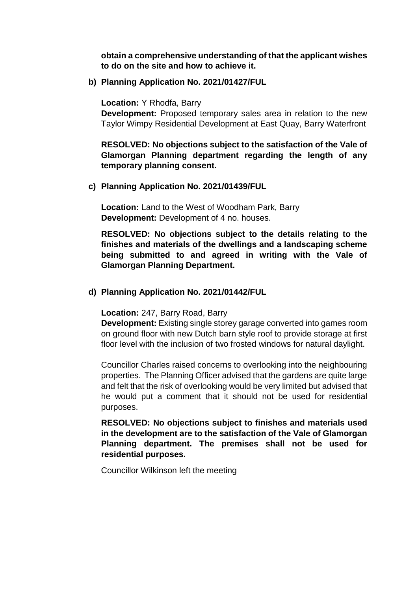**obtain a comprehensive understanding of that the applicant wishes to do on the site and how to achieve it.** 

**b) Planning Application No. 2021/01427/FUL**

**Location:** Y Rhodfa, Barry

**Development:** Proposed temporary sales area in relation to the new Taylor Wimpy Residential Development at East Quay, Barry Waterfront

**RESOLVED: No objections subject to the satisfaction of the Vale of Glamorgan Planning department regarding the length of any temporary planning consent.**

## **c) Planning Application No. 2021/01439/FUL**

**Location:** Land to the West of Woodham Park, Barry **Development:** Development of 4 no. houses.

**RESOLVED: No objections subject to the details relating to the finishes and materials of the dwellings and a landscaping scheme being submitted to and agreed in writing with the Vale of Glamorgan Planning Department.** 

### **d) Planning Application No. 2021/01442/FUL**

**Location:** 247, Barry Road, Barry

**Development:** Existing single storey garage converted into games room on ground floor with new Dutch barn style roof to provide storage at first floor level with the inclusion of two frosted windows for natural daylight.

Councillor Charles raised concerns to overlooking into the neighbouring properties. The Planning Officer advised that the gardens are quite large and felt that the risk of overlooking would be very limited but advised that he would put a comment that it should not be used for residential purposes.

**RESOLVED: No objections subject to finishes and materials used in the development are to the satisfaction of the Vale of Glamorgan Planning department. The premises shall not be used for residential purposes.**

Councillor Wilkinson left the meeting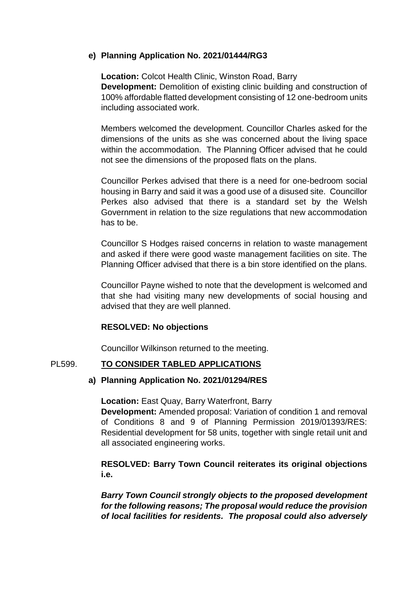## **e) Planning Application No. 2021/01444/RG3**

**Location:** Colcot Health Clinic, Winston Road, Barry **Development:** Demolition of existing clinic building and construction of 100% affordable flatted development consisting of 12 one-bedroom units including associated work.

Members welcomed the development. Councillor Charles asked for the dimensions of the units as she was concerned about the living space within the accommodation. The Planning Officer advised that he could not see the dimensions of the proposed flats on the plans.

Councillor Perkes advised that there is a need for one-bedroom social housing in Barry and said it was a good use of a disused site. Councillor Perkes also advised that there is a standard set by the Welsh Government in relation to the size regulations that new accommodation has to be.

Councillor S Hodges raised concerns in relation to waste management and asked if there were good waste management facilities on site. The Planning Officer advised that there is a bin store identified on the plans.

Councillor Payne wished to note that the development is welcomed and that she had visiting many new developments of social housing and advised that they are well planned.

## **RESOLVED: No objections**

Councillor Wilkinson returned to the meeting.

## PL599. **TO CONSIDER TABLED APPLICATIONS**

## **a) Planning Application No. 2021/01294/RES**

**Location:** East Quay, Barry Waterfront, Barry

**Development:** Amended proposal: Variation of condition 1 and removal of Conditions 8 and 9 of Planning Permission 2019/01393/RES: Residential development for 58 units, together with single retail unit and all associated engineering works.

## **RESOLVED: Barry Town Council reiterates its original objections i.e.**

*Barry Town Council strongly objects to the proposed development for the following reasons; The proposal would reduce the provision of local facilities for residents. The proposal could also adversely*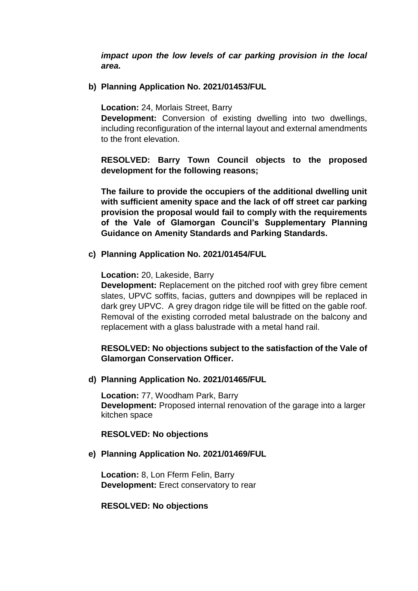*impact upon the low levels of car parking provision in the local area.* 

**b) Planning Application No. 2021/01453/FUL**

**Location:** 24, Morlais Street, Barry

**Development:** Conversion of existing dwelling into two dwellings, including reconfiguration of the internal layout and external amendments to the front elevation.

**RESOLVED: Barry Town Council objects to the proposed development for the following reasons;** 

**The failure to provide the occupiers of the additional dwelling unit with sufficient amenity space and the lack of off street car parking provision the proposal would fail to comply with the requirements of the Vale of Glamorgan Council's Supplementary Planning Guidance on Amenity Standards and Parking Standards.** 

**c) Planning Application No. 2021/01454/FUL** 

**Location:** 20, Lakeside, Barry

**Development:** Replacement on the pitched roof with grey fibre cement slates, UPVC soffits, facias, gutters and downpipes will be replaced in dark grey UPVC. A grey dragon ridge tile will be fitted on the gable roof. Removal of the existing corroded metal balustrade on the balcony and replacement with a glass balustrade with a metal hand rail.

## **RESOLVED: No objections subject to the satisfaction of the Vale of Glamorgan Conservation Officer.**

**d) Planning Application No. 2021/01465/FUL**

**Location:** 77, Woodham Park, Barry **Development:** Proposed internal renovation of the garage into a larger kitchen space

**RESOLVED: No objections** 

## **e) Planning Application No. 2021/01469/FUL**

**Location:** 8, Lon Fferm Felin, Barry **Development:** Erect conservatory to rear

#### **RESOLVED: No objections**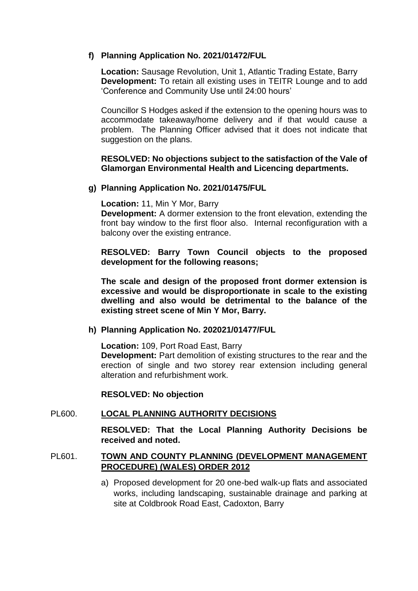## **f) Planning Application No. 2021/01472/FUL**

**Location:** Sausage Revolution, Unit 1, Atlantic Trading Estate, Barry **Development:** To retain all existing uses in TEITR Lounge and to add 'Conference and Community Use until 24:00 hours'

Councillor S Hodges asked if the extension to the opening hours was to accommodate takeaway/home delivery and if that would cause a problem. The Planning Officer advised that it does not indicate that suggestion on the plans.

### **RESOLVED: No objections subject to the satisfaction of the Vale of Glamorgan Environmental Health and Licencing departments.**

### **g) Planning Application No. 2021/01475/FUL**

**Location:** 11, Min Y Mor, Barry

**Development:** A dormer extension to the front elevation, extending the front bay window to the first floor also. Internal reconfiguration with a balcony over the existing entrance.

**RESOLVED: Barry Town Council objects to the proposed development for the following reasons;** 

**The scale and design of the proposed front dormer extension is excessive and would be disproportionate in scale to the existing dwelling and also would be detrimental to the balance of the existing street scene of Min Y Mor, Barry.** 

#### **h) Planning Application No. 202021/01477/FUL**

**Location:** 109, Port Road East, Barry

**Development:** Part demolition of existing structures to the rear and the erection of single and two storey rear extension including general alteration and refurbishment work.

#### **RESOLVED: No objection**

#### PL600. **LOCAL PLANNING AUTHORITY DECISIONS**

**RESOLVED: That the Local Planning Authority Decisions be received and noted.** 

### PL601. **TOWN AND COUNTY PLANNING (DEVELOPMENT MANAGEMENT PROCEDURE) (WALES) ORDER 2012**

a) Proposed development for 20 one-bed walk-up flats and associated works, including landscaping, sustainable drainage and parking at site at Coldbrook Road East, Cadoxton, Barry